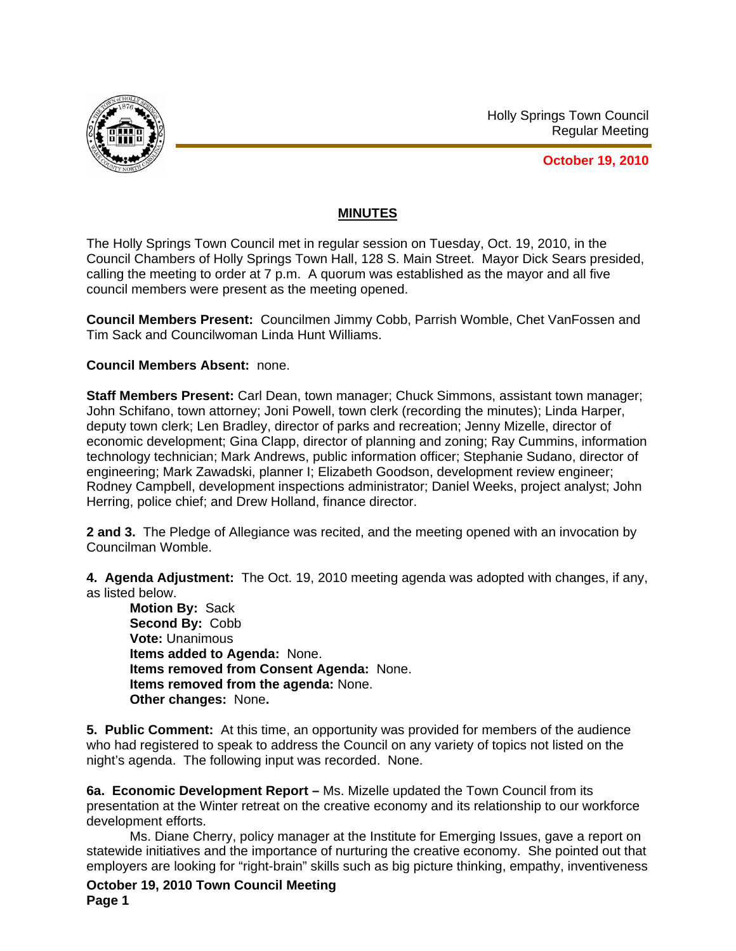

Holly Springs Town Council Regular Meeting

**October 19, 2010**

### **MINUTES**

The Holly Springs Town Council met in regular session on Tuesday, Oct. 19, 2010, in the Council Chambers of Holly Springs Town Hall, 128 S. Main Street. Mayor Dick Sears presided, calling the meeting to order at 7 p.m. A quorum was established as the mayor and all five council members were present as the meeting opened.

**Council Members Present:** Councilmen Jimmy Cobb, Parrish Womble, Chet VanFossen and Tim Sack and Councilwoman Linda Hunt Williams.

#### **Council Members Absent:** none.

**Staff Members Present:** Carl Dean, town manager; Chuck Simmons, assistant town manager; John Schifano, town attorney; Joni Powell, town clerk (recording the minutes); Linda Harper, deputy town clerk; Len Bradley, director of parks and recreation; Jenny Mizelle, director of economic development; Gina Clapp, director of planning and zoning; Ray Cummins, information technology technician; Mark Andrews, public information officer; Stephanie Sudano, director of engineering; Mark Zawadski, planner I; Elizabeth Goodson, development review engineer; Rodney Campbell, development inspections administrator; Daniel Weeks, project analyst; John Herring, police chief; and Drew Holland, finance director.

**2 and 3.** The Pledge of Allegiance was recited, and the meeting opened with an invocation by Councilman Womble.

**4. Agenda Adjustment:** The Oct. 19, 2010 meeting agenda was adopted with changes, if any, as listed below.

**Motion By:** Sack **Second By:** Cobb **Vote:** Unanimous **Items added to Agenda:** None. **Items removed from Consent Agenda:** None. **Items removed from the agenda:** None. **Other changes:** None**.** 

**5. Public Comment:** At this time, an opportunity was provided for members of the audience who had registered to speak to address the Council on any variety of topics not listed on the night's agenda. The following input was recorded. None.

**6a. Economic Development Report –** Ms. Mizelle updated the Town Council from its presentation at the Winter retreat on the creative economy and its relationship to our workforce development efforts.

Ms. Diane Cherry, policy manager at the Institute for Emerging Issues, gave a report on statewide initiatives and the importance of nurturing the creative economy. She pointed out that employers are looking for "right-brain" skills such as big picture thinking, empathy, inventiveness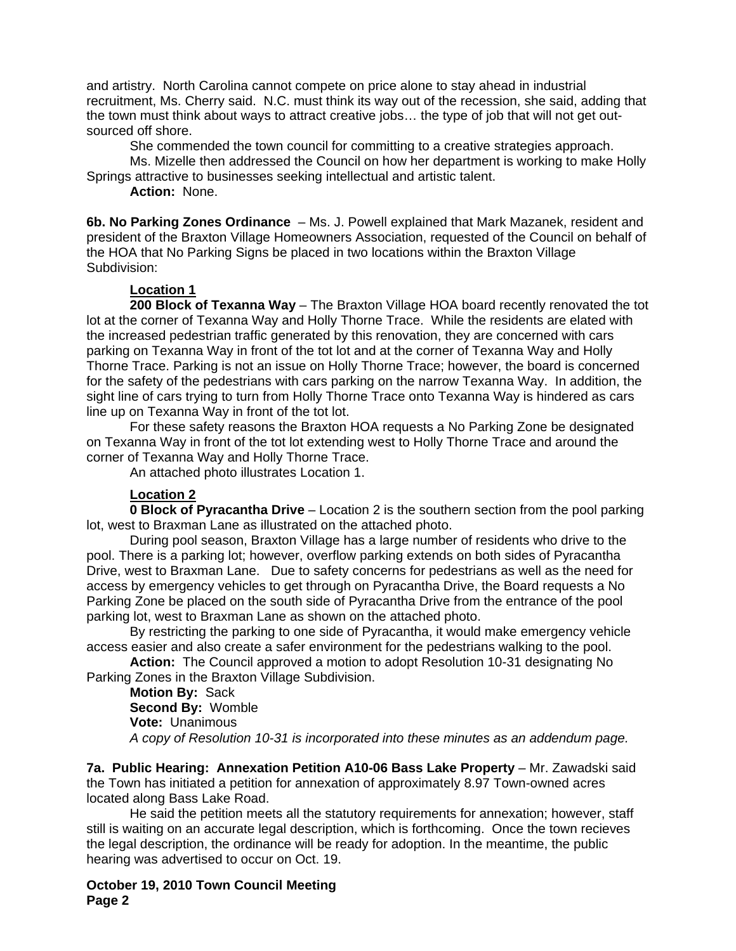and artistry. North Carolina cannot compete on price alone to stay ahead in industrial recruitment, Ms. Cherry said. N.C. must think its way out of the recession, she said, adding that the town must think about ways to attract creative jobs… the type of job that will not get outsourced off shore.

She commended the town council for committing to a creative strategies approach.

Ms. Mizelle then addressed the Council on how her department is working to make Holly Springs attractive to businesses seeking intellectual and artistic talent.

**Action:** None.

**6b. No Parking Zones Ordinance** – Ms. J. Powell explained that Mark Mazanek, resident and president of the Braxton Village Homeowners Association, requested of the Council on behalf of the HOA that No Parking Signs be placed in two locations within the Braxton Village Subdivision:

## **Location 1**

 **200 Block of Texanna Way** – The Braxton Village HOA board recently renovated the tot lot at the corner of Texanna Way and Holly Thorne Trace. While the residents are elated with the increased pedestrian traffic generated by this renovation, they are concerned with cars parking on Texanna Way in front of the tot lot and at the corner of Texanna Way and Holly Thorne Trace. Parking is not an issue on Holly Thorne Trace; however, the board is concerned for the safety of the pedestrians with cars parking on the narrow Texanna Way. In addition, the sight line of cars trying to turn from Holly Thorne Trace onto Texanna Way is hindered as cars line up on Texanna Way in front of the tot lot.

 For these safety reasons the Braxton HOA requests a No Parking Zone be designated on Texanna Way in front of the tot lot extending west to Holly Thorne Trace and around the corner of Texanna Way and Holly Thorne Trace.

An attached photo illustrates Location 1.

# **Location 2**

 **0 Block of Pyracantha Drive** – Location 2 is the southern section from the pool parking lot, west to Braxman Lane as illustrated on the attached photo.

 During pool season, Braxton Village has a large number of residents who drive to the pool. There is a parking lot; however, overflow parking extends on both sides of Pyracantha Drive, west to Braxman Lane. Due to safety concerns for pedestrians as well as the need for access by emergency vehicles to get through on Pyracantha Drive, the Board requests a No Parking Zone be placed on the south side of Pyracantha Drive from the entrance of the pool parking lot, west to Braxman Lane as shown on the attached photo.

 By restricting the parking to one side of Pyracantha, it would make emergency vehicle access easier and also create a safer environment for the pedestrians walking to the pool.

**Action:** The Council approved a motion to adopt Resolution 10-31 designating No Parking Zones in the Braxton Village Subdivision.

**Motion By:** Sack **Second By:** Womble **Vote:** Unanimous *A copy of Resolution 10-31 is incorporated into these minutes as an addendum page.* 

**7a. Public Hearing: Annexation Petition A10-06 Bass Lake Property** – Mr. Zawadski said the Town has initiated a petition for annexation of approximately 8.97 Town-owned acres located along Bass Lake Road.

He said the petition meets all the statutory requirements for annexation; however, staff still is waiting on an accurate legal description, which is forthcoming. Once the town recieves the legal description, the ordinance will be ready for adoption. In the meantime, the public hearing was advertised to occur on Oct. 19.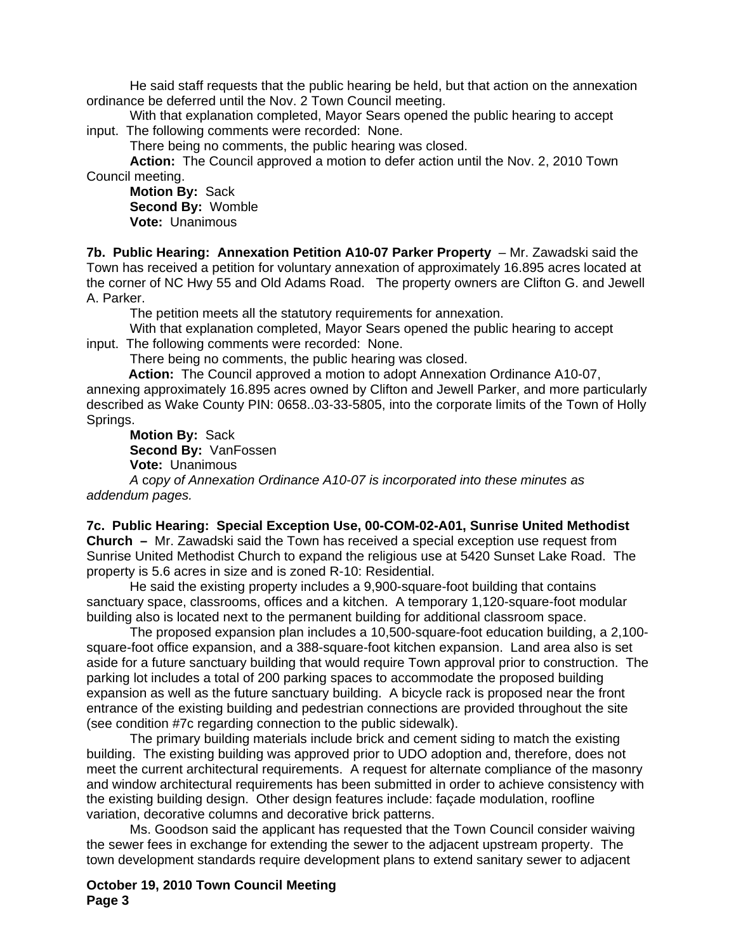He said staff requests that the public hearing be held, but that action on the annexation ordinance be deferred until the Nov. 2 Town Council meeting.

 With that explanation completed, Mayor Sears opened the public hearing to accept input. The following comments were recorded: None.

There being no comments, the public hearing was closed.

**Action:** The Council approved a motion to defer action until the Nov. 2, 2010 Town Council meeting.

**Motion By:** Sack **Second By:** Womble **Vote:** Unanimous

**7b. Public Hearing: Annexation Petition A10-07 Parker Property** – Mr. Zawadski said the Town has received a petition for voluntary annexation of approximately 16.895 acres located at the corner of NC Hwy 55 and Old Adams Road. The property owners are Clifton G. and Jewell A. Parker.

The petition meets all the statutory requirements for annexation.

With that explanation completed, Mayor Sears opened the public hearing to accept input. The following comments were recorded: None.

There being no comments, the public hearing was closed.

 **Action:** The Council approved a motion to adopt Annexation Ordinance A10-07, annexing approximately 16.895 acres owned by Clifton and Jewell Parker, and more particularly described as Wake County PIN: 0658..03-33-5805, into the corporate limits of the Town of Holly Springs.

**Motion By:** Sack **Second By:** VanFossen

**Vote:** Unanimous

*A* c*opy of Annexation Ordinance A10-07 is incorporated into these minutes as addendum pages.*

**7c. Public Hearing: Special Exception Use, 00-COM-02-A01, Sunrise United Methodist Church –** Mr. Zawadski said the Town has received a special exception use request from Sunrise United Methodist Church to expand the religious use at 5420 Sunset Lake Road. The property is 5.6 acres in size and is zoned R-10: Residential.

 He said the existing property includes a 9,900-square-foot building that contains sanctuary space, classrooms, offices and a kitchen. A temporary 1,120-square-foot modular building also is located next to the permanent building for additional classroom space.

 The proposed expansion plan includes a 10,500-square-foot education building, a 2,100 square-foot office expansion, and a 388-square-foot kitchen expansion. Land area also is set aside for a future sanctuary building that would require Town approval prior to construction. The parking lot includes a total of 200 parking spaces to accommodate the proposed building expansion as well as the future sanctuary building. A bicycle rack is proposed near the front entrance of the existing building and pedestrian connections are provided throughout the site (see condition #7c regarding connection to the public sidewalk).

 The primary building materials include brick and cement siding to match the existing building. The existing building was approved prior to UDO adoption and, therefore, does not meet the current architectural requirements. A request for alternate compliance of the masonry and window architectural requirements has been submitted in order to achieve consistency with the existing building design. Other design features include: façade modulation, roofline variation, decorative columns and decorative brick patterns.

 Ms. Goodson said the applicant has requested that the Town Council consider waiving the sewer fees in exchange for extending the sewer to the adjacent upstream property. The town development standards require development plans to extend sanitary sewer to adjacent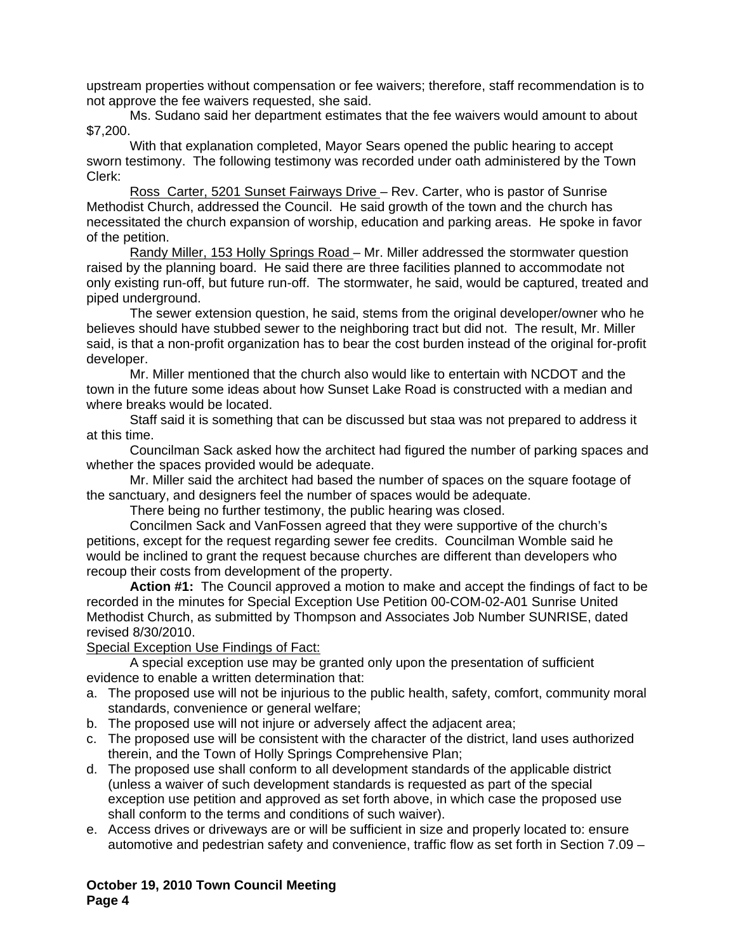upstream properties without compensation or fee waivers; therefore, staff recommendation is to not approve the fee waivers requested, she said.

 Ms. Sudano said her department estimates that the fee waivers would amount to about \$7,200.

With that explanation completed, Mayor Sears opened the public hearing to accept sworn testimony. The following testimony was recorded under oath administered by the Town Clerk:

 Ross Carter, 5201 Sunset Fairways Drive – Rev. Carter, who is pastor of Sunrise Methodist Church, addressed the Council. He said growth of the town and the church has necessitated the church expansion of worship, education and parking areas. He spoke in favor of the petition.

 Randy Miller, 153 Holly Springs Road – Mr. Miller addressed the stormwater question raised by the planning board. He said there are three facilities planned to accommodate not only existing run-off, but future run-off. The stormwater, he said, would be captured, treated and piped underground.

 The sewer extension question, he said, stems from the original developer/owner who he believes should have stubbed sewer to the neighboring tract but did not. The result, Mr. Miller said, is that a non-profit organization has to bear the cost burden instead of the original for-profit developer.

 Mr. Miller mentioned that the church also would like to entertain with NCDOT and the town in the future some ideas about how Sunset Lake Road is constructed with a median and where breaks would be located.

Staff said it is something that can be discussed but staa was not prepared to address it at this time.

Councilman Sack asked how the architect had figured the number of parking spaces and whether the spaces provided would be adequate.

Mr. Miller said the architect had based the number of spaces on the square footage of the sanctuary, and designers feel the number of spaces would be adequate.

There being no further testimony, the public hearing was closed.

Concilmen Sack and VanFossen agreed that they were supportive of the church's petitions, except for the request regarding sewer fee credits. Councilman Womble said he would be inclined to grant the request because churches are different than developers who recoup their costs from development of the property.

 **Action #1:** The Council approved a motion to make and accept the findings of fact to be recorded in the minutes for Special Exception Use Petition 00-COM-02-A01 Sunrise United Methodist Church, as submitted by Thompson and Associates Job Number SUNRISE, dated revised 8/30/2010.

#### Special Exception Use Findings of Fact:

 A special exception use may be granted only upon the presentation of sufficient evidence to enable a written determination that:

- a. The proposed use will not be injurious to the public health, safety, comfort, community moral standards, convenience or general welfare;
- b. The proposed use will not injure or adversely affect the adjacent area;
- c. The proposed use will be consistent with the character of the district, land uses authorized therein, and the Town of Holly Springs Comprehensive Plan;
- d. The proposed use shall conform to all development standards of the applicable district (unless a waiver of such development standards is requested as part of the special exception use petition and approved as set forth above, in which case the proposed use shall conform to the terms and conditions of such waiver).
- e. Access drives or driveways are or will be sufficient in size and properly located to: ensure automotive and pedestrian safety and convenience, traffic flow as set forth in Section 7.09 –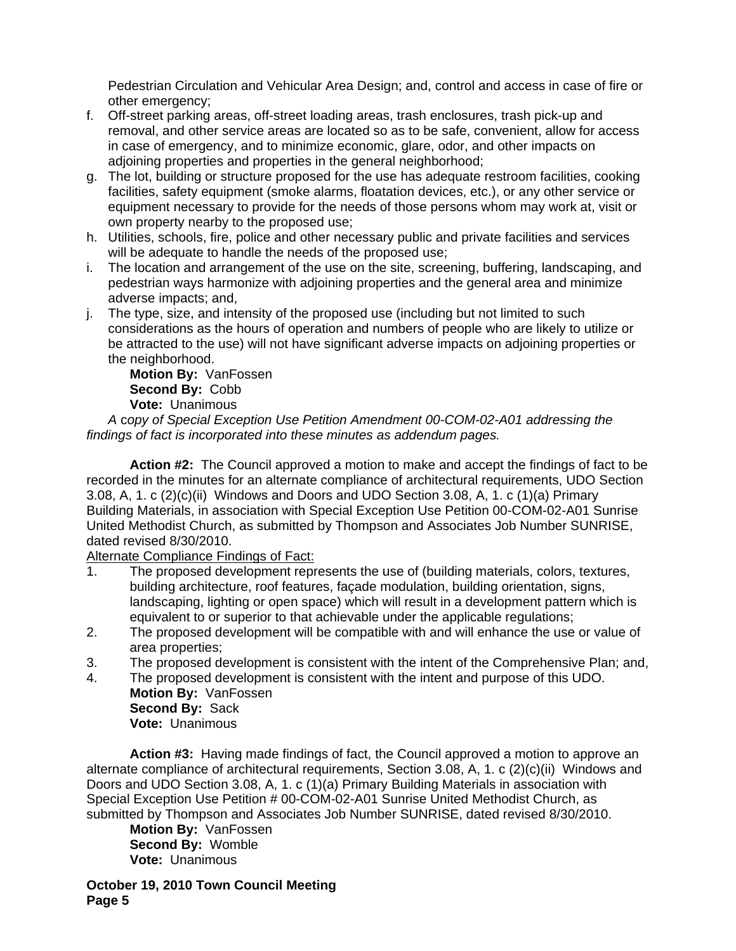Pedestrian Circulation and Vehicular Area Design; and, control and access in case of fire or other emergency;

- f. Off-street parking areas, off-street loading areas, trash enclosures, trash pick-up and removal, and other service areas are located so as to be safe, convenient, allow for access in case of emergency, and to minimize economic, glare, odor, and other impacts on adjoining properties and properties in the general neighborhood;
- g. The lot, building or structure proposed for the use has adequate restroom facilities, cooking facilities, safety equipment (smoke alarms, floatation devices, etc.), or any other service or equipment necessary to provide for the needs of those persons whom may work at, visit or own property nearby to the proposed use;
- h. Utilities, schools, fire, police and other necessary public and private facilities and services will be adequate to handle the needs of the proposed use;
- i. The location and arrangement of the use on the site, screening, buffering, landscaping, and pedestrian ways harmonize with adjoining properties and the general area and minimize adverse impacts; and,
- j. The type, size, and intensity of the proposed use (including but not limited to such considerations as the hours of operation and numbers of people who are likely to utilize or be attracted to the use) will not have significant adverse impacts on adjoining properties or the neighborhood.

**Motion By:** VanFossen **Second By:** Cobb **Vote:** Unanimous

*A* c*opy of Special Exception Use Petition Amendment 00-COM-02-A01 addressing the findings of fact is incorporated into these minutes as addendum pages.* 

**Action #2:** The Council approved a motion to make and accept the findings of fact to be recorded in the minutes for an alternate compliance of architectural requirements, UDO Section 3.08, A, 1. c (2)(c)(ii) Windows and Doors and UDO Section 3.08, A, 1. c (1)(a) Primary Building Materials, in association with Special Exception Use Petition 00-COM-02-A01 Sunrise United Methodist Church, as submitted by Thompson and Associates Job Number SUNRISE, dated revised 8/30/2010.

Alternate Compliance Findings of Fact:

- 1. The proposed development represents the use of (building materials, colors, textures, building architecture, roof features, façade modulation, building orientation, signs, landscaping, lighting or open space) which will result in a development pattern which is equivalent to or superior to that achievable under the applicable regulations;
- 2. The proposed development will be compatible with and will enhance the use or value of area properties;
- 3. The proposed development is consistent with the intent of the Comprehensive Plan; and,
- 4. The proposed development is consistent with the intent and purpose of this UDO. **Motion By:** VanFossen **Second By:** Sack

**Vote:** Unanimous

**Action #3:** Having made findings of fact, the Council approved a motion to approve an alternate compliance of architectural requirements, Section 3.08, A, 1. c (2)(c)(ii) Windows and Doors and UDO Section 3.08, A, 1. c (1)(a) Primary Building Materials in association with Special Exception Use Petition # 00-COM-02-A01 Sunrise United Methodist Church, as submitted by Thompson and Associates Job Number SUNRISE, dated revised 8/30/2010.

**Motion By:** VanFossen **Second By:** Womble **Vote:** Unanimous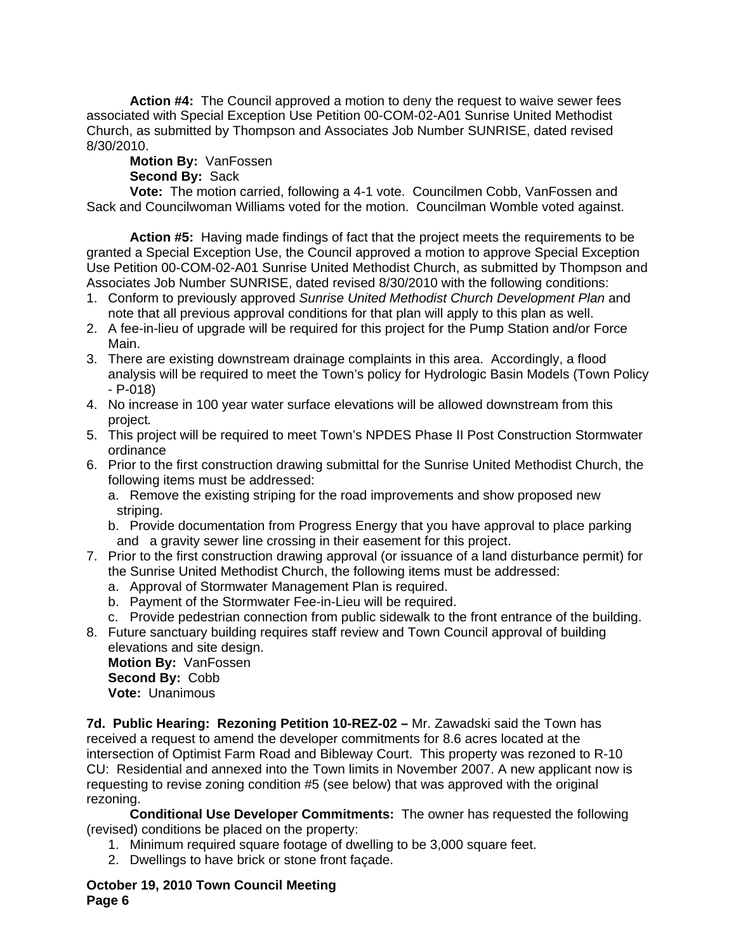**Action #4:** The Council approved a motion to deny the request to waive sewer fees associated with Special Exception Use Petition 00-COM-02-A01 Sunrise United Methodist Church, as submitted by Thompson and Associates Job Number SUNRISE, dated revised 8/30/2010.

# **Motion By:** VanFossen

**Second By:** Sack

**Vote:** The motion carried, following a 4-1 vote. Councilmen Cobb, VanFossen and Sack and Councilwoman Williams voted for the motion. Councilman Womble voted against.

**Action #5:** Having made findings of fact that the project meets the requirements to be granted a Special Exception Use, the Council approved a motion to approve Special Exception Use Petition 00-COM-02-A01 Sunrise United Methodist Church, as submitted by Thompson and Associates Job Number SUNRISE, dated revised 8/30/2010 with the following conditions:

- 1. Conform to previously approved *Sunrise United Methodist Church Development Plan* and note that all previous approval conditions for that plan will apply to this plan as well.
- 2. A fee-in-lieu of upgrade will be required for this project for the Pump Station and/or Force Main.
- 3. There are existing downstream drainage complaints in this area. Accordingly, a flood analysis will be required to meet the Town's policy for Hydrologic Basin Models (Town Policy - P-018)
- 4. No increase in 100 year water surface elevations will be allowed downstream from this project*.*
- 5. This project will be required to meet Town's NPDES Phase II Post Construction Stormwater ordinance
- 6. Prior to the first construction drawing submittal for the Sunrise United Methodist Church, the following items must be addressed:
	- a. Remove the existing striping for the road improvements and show proposed new striping.
	- b. Provide documentation from Progress Energy that you have approval to place parking and a gravity sewer line crossing in their easement for this project.
- 7. Prior to the first construction drawing approval (or issuance of a land disturbance permit) for the Sunrise United Methodist Church, the following items must be addressed:
	- a. Approval of Stormwater Management Plan is required.
	- b. Payment of the Stormwater Fee-in-Lieu will be required.
	- c. Provide pedestrian connection from public sidewalk to the front entrance of the building.

8. Future sanctuary building requires staff review and Town Council approval of building elevations and site design.

**Motion By:** VanFossen **Second By:** Cobb **Vote:** Unanimous

**7d. Public Hearing: Rezoning Petition 10-REZ-02 –** Mr. Zawadski said the Town has received a request to amend the developer commitments for 8.6 acres located at the intersection of Optimist Farm Road and Bibleway Court. This property was rezoned to R-10 CU: Residential and annexed into the Town limits in November 2007. A new applicant now is requesting to revise zoning condition #5 (see below) that was approved with the original rezoning.

 **Conditional Use Developer Commitments:** The owner has requested the following (revised) conditions be placed on the property:

- 1. Minimum required square footage of dwelling to be 3,000 square feet.
- 2. Dwellings to have brick or stone front façade.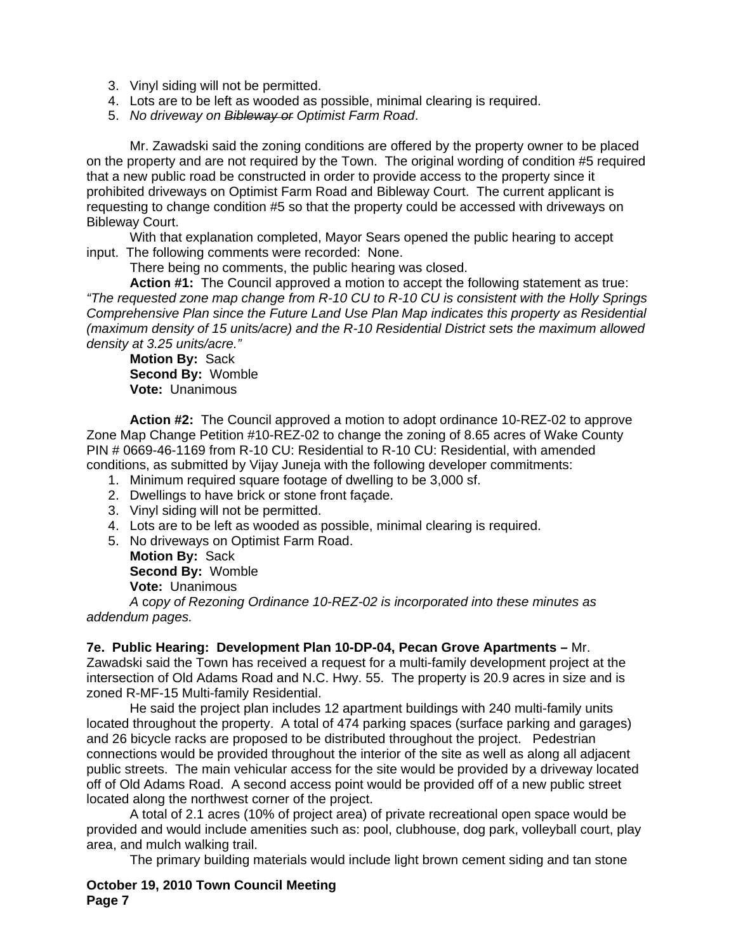- 3. Vinyl siding will not be permitted.
- 4. Lots are to be left as wooded as possible, minimal clearing is required.
- 5. *No driveway on Bibleway or Optimist Farm Road*.

Mr. Zawadski said the zoning conditions are offered by the property owner to be placed on the property and are not required by the Town. The original wording of condition #5 required that a new public road be constructed in order to provide access to the property since it prohibited driveways on Optimist Farm Road and Bibleway Court. The current applicant is requesting to change condition #5 so that the property could be accessed with driveways on Bibleway Court.

With that explanation completed, Mayor Sears opened the public hearing to accept input. The following comments were recorded: None.

There being no comments, the public hearing was closed.

**Action #1:** The Council approved a motion to accept the following statement as true: *"The requested zone map change from R-10 CU to R-10 CU is consistent with the Holly Springs Comprehensive Plan since the Future Land Use Plan Map indicates this property as Residential (maximum density of 15 units/acre) and the R-10 Residential District sets the maximum allowed density at 3.25 units/acre."* 

**Motion By:** Sack **Second By:** Womble **Vote:** Unanimous

**Action #2:** The Council approved a motion to adopt ordinance 10-REZ-02 to approve Zone Map Change Petition #10-REZ-02 to change the zoning of 8.65 acres of Wake County PIN # 0669-46-1169 from R-10 CU: Residential to R-10 CU: Residential, with amended conditions, as submitted by Vijay Juneja with the following developer commitments:

- 1. Minimum required square footage of dwelling to be 3,000 sf.
- 2. Dwellings to have brick or stone front façade.
- 3. Vinyl siding will not be permitted.
- 4. Lots are to be left as wooded as possible, minimal clearing is required.
- 5. No driveways on Optimist Farm Road.

**Motion By:** Sack **Second By:** Womble **Vote:** Unanimous

*A* c*opy of Rezoning Ordinance 10-REZ-02 is incorporated into these minutes as addendum pages.*

**7e. Public Hearing: Development Plan 10-DP-04, Pecan Grove Apartments –** Mr. Zawadski said the Town has received a request for a multi-family development project at the

intersection of Old Adams Road and N.C. Hwy. 55. The property is 20.9 acres in size and is zoned R-MF-15 Multi-family Residential.

 He said the project plan includes 12 apartment buildings with 240 multi-family units located throughout the property. A total of 474 parking spaces (surface parking and garages) and 26 bicycle racks are proposed to be distributed throughout the project. Pedestrian connections would be provided throughout the interior of the site as well as along all adjacent public streets. The main vehicular access for the site would be provided by a driveway located off of Old Adams Road. A second access point would be provided off of a new public street located along the northwest corner of the project.

 A total of 2.1 acres (10% of project area) of private recreational open space would be provided and would include amenities such as: pool, clubhouse, dog park, volleyball court, play area, and mulch walking trail.

The primary building materials would include light brown cement siding and tan stone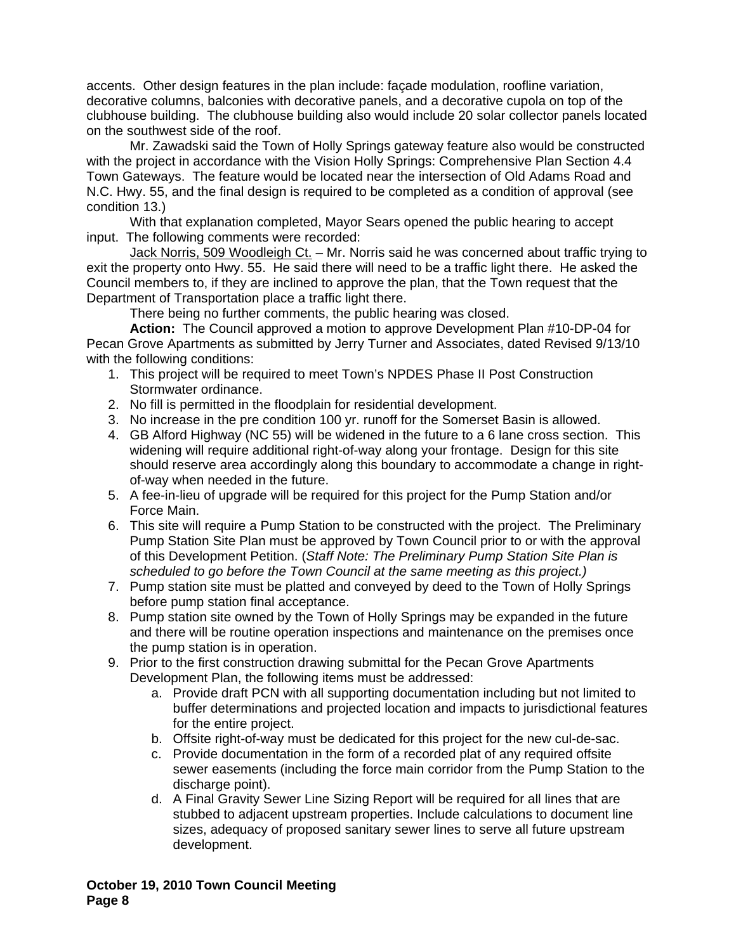accents. Other design features in the plan include: façade modulation, roofline variation, decorative columns, balconies with decorative panels, and a decorative cupola on top of the clubhouse building. The clubhouse building also would include 20 solar collector panels located on the southwest side of the roof.

 Mr. Zawadski said the Town of Holly Springs gateway feature also would be constructed with the project in accordance with the Vision Holly Springs: Comprehensive Plan Section 4.4 Town Gateways. The feature would be located near the intersection of Old Adams Road and N.C. Hwy. 55, and the final design is required to be completed as a condition of approval (see condition 13.)

With that explanation completed, Mayor Sears opened the public hearing to accept input. The following comments were recorded:

Jack Norris, 509 Woodleigh Ct. – Mr. Norris said he was concerned about traffic trying to exit the property onto Hwy. 55. He said there will need to be a traffic light there. He asked the Council members to, if they are inclined to approve the plan, that the Town request that the Department of Transportation place a traffic light there.

There being no further comments, the public hearing was closed.

**Action:** The Council approved a motion to approve Development Plan #10-DP-04 for Pecan Grove Apartments as submitted by Jerry Turner and Associates, dated Revised 9/13/10 with the following conditions:

- 1. This project will be required to meet Town's NPDES Phase II Post Construction Stormwater ordinance.
- 2. No fill is permitted in the floodplain for residential development.
- 3. No increase in the pre condition 100 yr. runoff for the Somerset Basin is allowed.
- 4. GB Alford Highway (NC 55) will be widened in the future to a 6 lane cross section. This widening will require additional right-of-way along your frontage. Design for this site should reserve area accordingly along this boundary to accommodate a change in rightof-way when needed in the future.
- 5. A fee-in-lieu of upgrade will be required for this project for the Pump Station and/or Force Main.
- 6. This site will require a Pump Station to be constructed with the project. The Preliminary Pump Station Site Plan must be approved by Town Council prior to or with the approval of this Development Petition. (*Staff Note: The Preliminary Pump Station Site Plan is scheduled to go before the Town Council at the same meeting as this project.)*
- 7. Pump station site must be platted and conveyed by deed to the Town of Holly Springs before pump station final acceptance.
- 8. Pump station site owned by the Town of Holly Springs may be expanded in the future and there will be routine operation inspections and maintenance on the premises once the pump station is in operation.
- 9. Prior to the first construction drawing submittal for the Pecan Grove Apartments Development Plan, the following items must be addressed:
	- a. Provide draft PCN with all supporting documentation including but not limited to buffer determinations and projected location and impacts to jurisdictional features for the entire project.
	- b. Offsite right-of-way must be dedicated for this project for the new cul-de-sac.
	- c. Provide documentation in the form of a recorded plat of any required offsite sewer easements (including the force main corridor from the Pump Station to the discharge point).
	- d. A Final Gravity Sewer Line Sizing Report will be required for all lines that are stubbed to adjacent upstream properties. Include calculations to document line sizes, adequacy of proposed sanitary sewer lines to serve all future upstream development.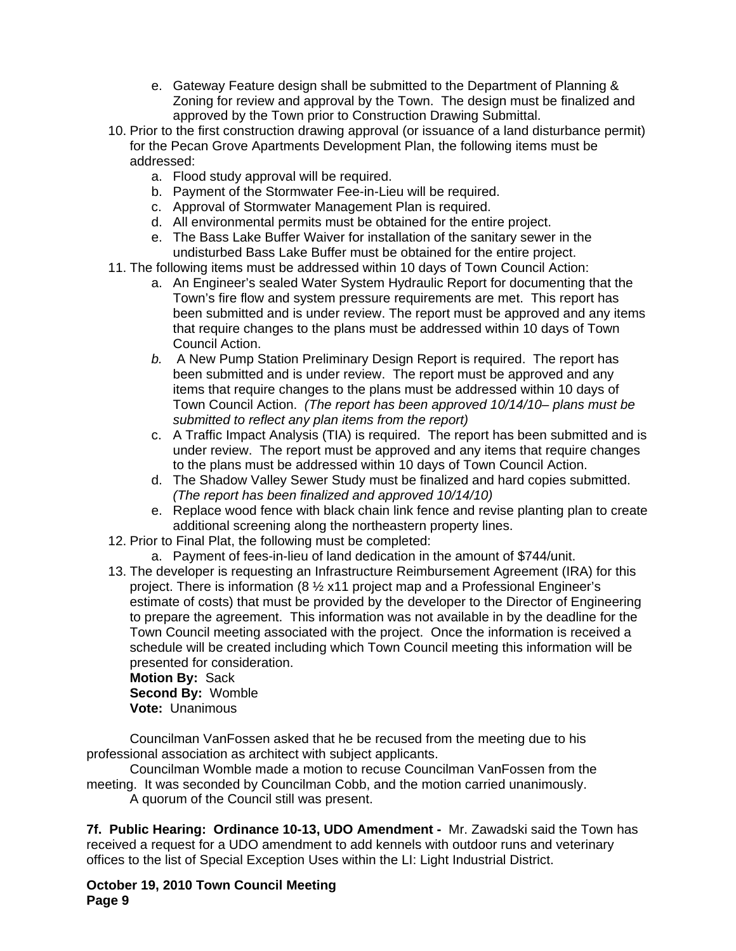- e. Gateway Feature design shall be submitted to the Department of Planning & Zoning for review and approval by the Town. The design must be finalized and approved by the Town prior to Construction Drawing Submittal.
- 10. Prior to the first construction drawing approval (or issuance of a land disturbance permit) for the Pecan Grove Apartments Development Plan, the following items must be addressed:
	- a. Flood study approval will be required.
	- b. Payment of the Stormwater Fee-in-Lieu will be required.
	- c. Approval of Stormwater Management Plan is required.
	- d. All environmental permits must be obtained for the entire project.
	- e. The Bass Lake Buffer Waiver for installation of the sanitary sewer in the undisturbed Bass Lake Buffer must be obtained for the entire project.
- 11. The following items must be addressed within 10 days of Town Council Action:
	- a. An Engineer's sealed Water System Hydraulic Report for documenting that the Town's fire flow and system pressure requirements are met. This report has been submitted and is under review. The report must be approved and any items that require changes to the plans must be addressed within 10 days of Town Council Action.
	- *b.* A New Pump Station Preliminary Design Report is required. The report has been submitted and is under review. The report must be approved and any items that require changes to the plans must be addressed within 10 days of Town Council Action. *(The report has been approved 10/14/10– plans must be submitted to reflect any plan items from the report)*
	- c. A Traffic Impact Analysis (TIA) is required. The report has been submitted and is under review. The report must be approved and any items that require changes to the plans must be addressed within 10 days of Town Council Action.
	- d. The Shadow Valley Sewer Study must be finalized and hard copies submitted. *(The report has been finalized and approved 10/14/10)*
	- e. Replace wood fence with black chain link fence and revise planting plan to create additional screening along the northeastern property lines.
- 12. Prior to Final Plat, the following must be completed:
	- a. Payment of fees-in-lieu of land dedication in the amount of \$744/unit.
- 13. The developer is requesting an Infrastructure Reimbursement Agreement (IRA) for this project. There is information (8 ½ x11 project map and a Professional Engineer's estimate of costs) that must be provided by the developer to the Director of Engineering to prepare the agreement. This information was not available in by the deadline for the Town Council meeting associated with the project. Once the information is received a schedule will be created including which Town Council meeting this information will be presented for consideration.

**Motion By:** Sack **Second By:** Womble **Vote:** Unanimous

Councilman VanFossen asked that he be recused from the meeting due to his professional association as architect with subject applicants.

Councilman Womble made a motion to recuse Councilman VanFossen from the meeting. It was seconded by Councilman Cobb, and the motion carried unanimously.

A quorum of the Council still was present.

**7f. Public Hearing: Ordinance 10-13, UDO Amendment -** Mr. Zawadski said the Town has received a request for a UDO amendment to add kennels with outdoor runs and veterinary offices to the list of Special Exception Uses within the LI: Light Industrial District.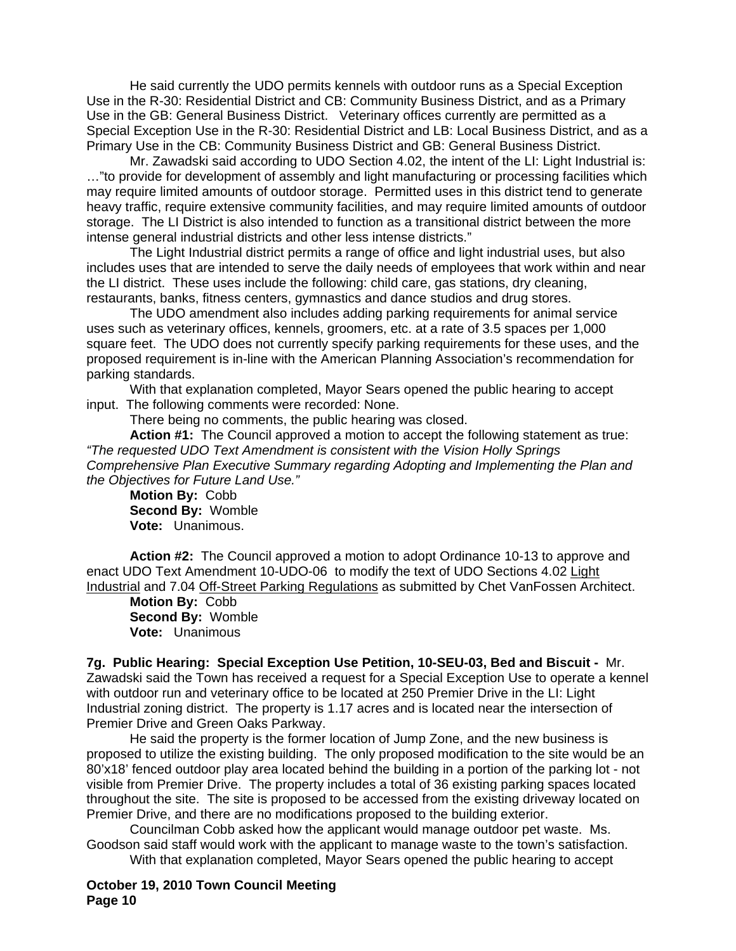He said currently the UDO permits kennels with outdoor runs as a Special Exception Use in the R-30: Residential District and CB: Community Business District, and as a Primary Use in the GB: General Business District. Veterinary offices currently are permitted as a Special Exception Use in the R-30: Residential District and LB: Local Business District, and as a Primary Use in the CB: Community Business District and GB: General Business District.

 Mr. Zawadski said according to UDO Section 4.02, the intent of the LI: Light Industrial is: …"to provide for development of assembly and light manufacturing or processing facilities which may require limited amounts of outdoor storage. Permitted uses in this district tend to generate heavy traffic, require extensive community facilities, and may require limited amounts of outdoor storage. The LI District is also intended to function as a transitional district between the more intense general industrial districts and other less intense districts."

 The Light Industrial district permits a range of office and light industrial uses, but also includes uses that are intended to serve the daily needs of employees that work within and near the LI district. These uses include the following: child care, gas stations, dry cleaning, restaurants, banks, fitness centers, gymnastics and dance studios and drug stores.

 The UDO amendment also includes adding parking requirements for animal service uses such as veterinary offices, kennels, groomers, etc. at a rate of 3.5 spaces per 1,000 square feet. The UDO does not currently specify parking requirements for these uses, and the proposed requirement is in-line with the American Planning Association's recommendation for parking standards.

With that explanation completed, Mayor Sears opened the public hearing to accept input. The following comments were recorded: None.

There being no comments, the public hearing was closed.

**Action #1:** The Council approved a motion to accept the following statement as true: *"The requested UDO Text Amendment is consistent with the Vision Holly Springs Comprehensive Plan Executive Summary regarding Adopting and Implementing the Plan and the Objectives for Future Land Use."* 

**Motion By:** Cobb **Second By:** Womble **Vote:** Unanimous.

 **Action #2:** The Council approved a motion to adopt Ordinance 10-13 to approve and enact UDO Text Amendment 10-UDO-06 to modify the text of UDO Sections 4.02 Light Industrial and 7.04 Off-Street Parking Regulations as submitted by Chet VanFossen Architect.

**Motion By:** Cobb **Second By:** Womble **Vote:** Unanimous

**7g. Public Hearing: Special Exception Use Petition, 10-SEU-03, Bed and Biscuit -** Mr. Zawadski said the Town has received a request for a Special Exception Use to operate a kennel with outdoor run and veterinary office to be located at 250 Premier Drive in the LI: Light Industrial zoning district. The property is 1.17 acres and is located near the intersection of Premier Drive and Green Oaks Parkway.

 He said the property is the former location of Jump Zone, and the new business is proposed to utilize the existing building. The only proposed modification to the site would be an 80'x18' fenced outdoor play area located behind the building in a portion of the parking lot - not visible from Premier Drive. The property includes a total of 36 existing parking spaces located throughout the site. The site is proposed to be accessed from the existing driveway located on Premier Drive, and there are no modifications proposed to the building exterior.

 Councilman Cobb asked how the applicant would manage outdoor pet waste. Ms. Goodson said staff would work with the applicant to manage waste to the town's satisfaction. With that explanation completed, Mayor Sears opened the public hearing to accept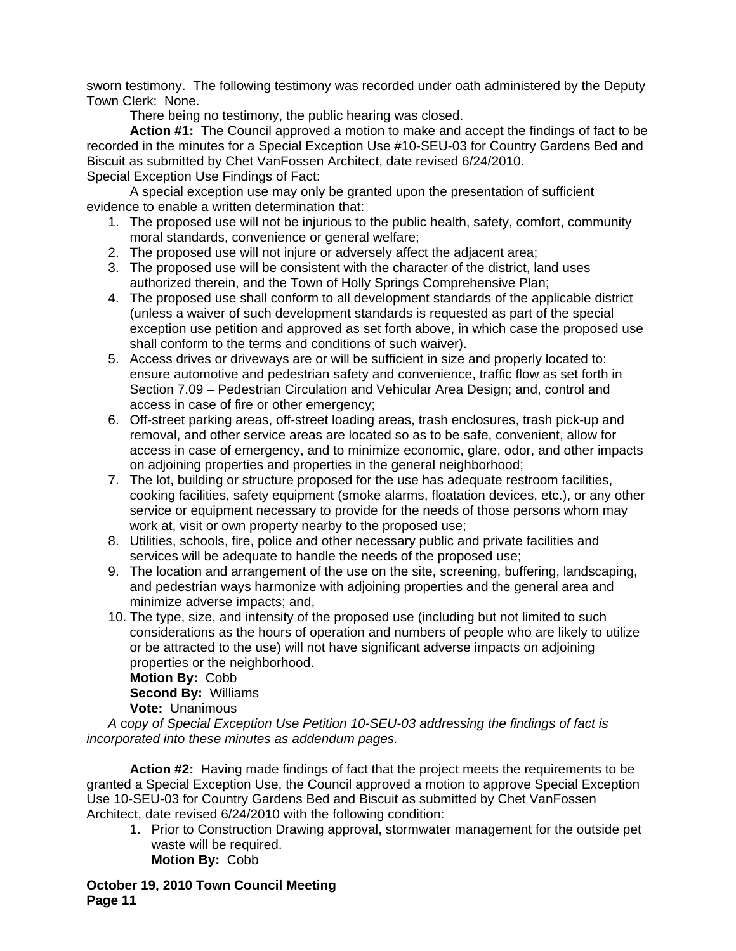sworn testimony. The following testimony was recorded under oath administered by the Deputy Town Clerk: None.

There being no testimony, the public hearing was closed.

 **Action #1:** The Council approved a motion to make and accept the findings of fact to be recorded in the minutes for a Special Exception Use #10-SEU-03 for Country Gardens Bed and Biscuit as submitted by Chet VanFossen Architect, date revised 6/24/2010. Special Exception Use Findings of Fact:

 A special exception use may only be granted upon the presentation of sufficient evidence to enable a written determination that:

- 1. The proposed use will not be injurious to the public health, safety, comfort, community moral standards, convenience or general welfare;
- 2. The proposed use will not injure or adversely affect the adjacent area;
- 3. The proposed use will be consistent with the character of the district, land uses authorized therein, and the Town of Holly Springs Comprehensive Plan;
- 4. The proposed use shall conform to all development standards of the applicable district (unless a waiver of such development standards is requested as part of the special exception use petition and approved as set forth above, in which case the proposed use shall conform to the terms and conditions of such waiver).
- 5. Access drives or driveways are or will be sufficient in size and properly located to: ensure automotive and pedestrian safety and convenience, traffic flow as set forth in Section 7.09 – Pedestrian Circulation and Vehicular Area Design; and, control and access in case of fire or other emergency;
- 6. Off-street parking areas, off-street loading areas, trash enclosures, trash pick-up and removal, and other service areas are located so as to be safe, convenient, allow for access in case of emergency, and to minimize economic, glare, odor, and other impacts on adjoining properties and properties in the general neighborhood;
- 7. The lot, building or structure proposed for the use has adequate restroom facilities, cooking facilities, safety equipment (smoke alarms, floatation devices, etc.), or any other service or equipment necessary to provide for the needs of those persons whom may work at, visit or own property nearby to the proposed use;
- 8. Utilities, schools, fire, police and other necessary public and private facilities and services will be adequate to handle the needs of the proposed use;
- 9. The location and arrangement of the use on the site, screening, buffering, landscaping, and pedestrian ways harmonize with adjoining properties and the general area and minimize adverse impacts; and,
- 10. The type, size, and intensity of the proposed use (including but not limited to such considerations as the hours of operation and numbers of people who are likely to utilize or be attracted to the use) will not have significant adverse impacts on adjoining properties or the neighborhood.

**Motion By:** Cobb **Second By:** Williams **Vote:** Unanimous

*A* c*opy of Special Exception Use Petition 10-SEU-03 addressing the findings of fact is incorporated into these minutes as addendum pages.* 

**Action #2:** Having made findings of fact that the project meets the requirements to be granted a Special Exception Use, the Council approved a motion to approve Special Exception Use 10-SEU-03 for Country Gardens Bed and Biscuit as submitted by Chet VanFossen Architect, date revised 6/24/2010 with the following condition:

1. Prior to Construction Drawing approval, stormwater management for the outside pet waste will be required. **Motion By:** Cobb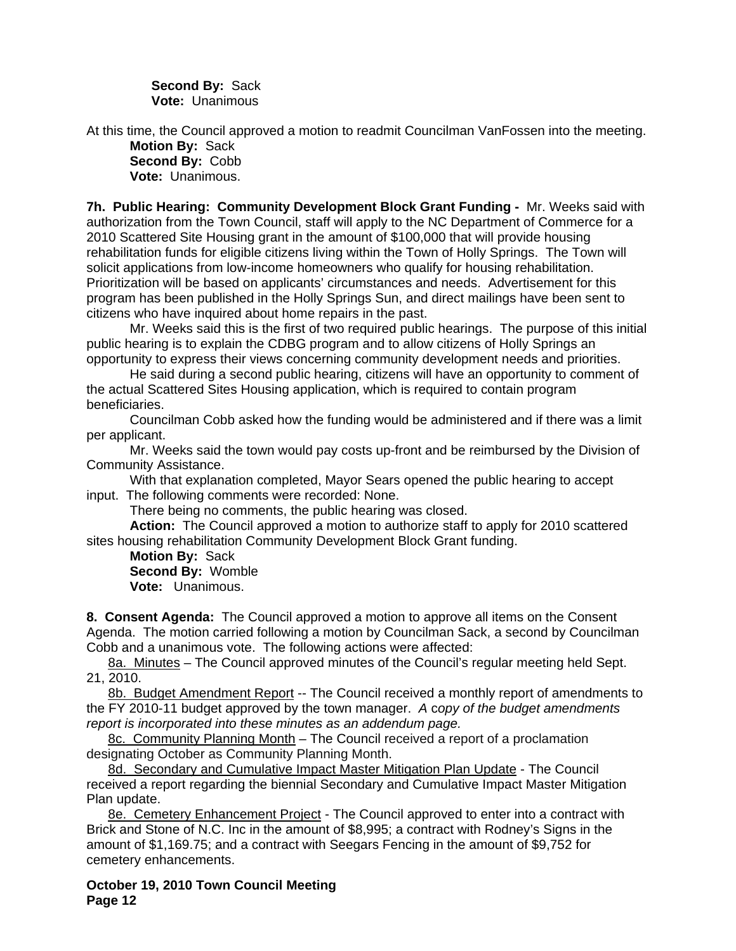**Second By:** Sack **Vote:** Unanimous

At this time, the Council approved a motion to readmit Councilman VanFossen into the meeting. **Motion By:** Sack **Second By:** Cobb

**Vote:** Unanimous.

**7h. Public Hearing: Community Development Block Grant Funding -** Mr. Weeks said with authorization from the Town Council, staff will apply to the NC Department of Commerce for a 2010 Scattered Site Housing grant in the amount of \$100,000 that will provide housing rehabilitation funds for eligible citizens living within the Town of Holly Springs. The Town will solicit applications from low-income homeowners who qualify for housing rehabilitation. Prioritization will be based on applicants' circumstances and needs. Advertisement for this program has been published in the Holly Springs Sun, and direct mailings have been sent to citizens who have inquired about home repairs in the past.

 Mr. Weeks said this is the first of two required public hearings. The purpose of this initial public hearing is to explain the CDBG program and to allow citizens of Holly Springs an opportunity to express their views concerning community development needs and priorities.

 He said during a second public hearing, citizens will have an opportunity to comment of the actual Scattered Sites Housing application, which is required to contain program beneficiaries.

 Councilman Cobb asked how the funding would be administered and if there was a limit per applicant.

 Mr. Weeks said the town would pay costs up-front and be reimbursed by the Division of Community Assistance.

With that explanation completed, Mayor Sears opened the public hearing to accept input. The following comments were recorded: None.

There being no comments, the public hearing was closed.

**Action:** The Council approved a motion to authorize staff to apply for 2010 scattered sites housing rehabilitation Community Development Block Grant funding.

**Motion By:** Sack **Second By:** Womble **Vote:** Unanimous.

**8. Consent Agenda:** The Council approved a motion to approve all items on the Consent Agenda. The motion carried following a motion by Councilman Sack, a second by Councilman Cobb and a unanimous vote. The following actions were affected:

8a. Minutes – The Council approved minutes of the Council's regular meeting held Sept. 21, 2010.

8b. Budget Amendment Report -- The Council received a monthly report of amendments to the FY 2010-11 budget approved by the town manager. *A* c*opy of the budget amendments report is incorporated into these minutes as an addendum page.*

8c. Community Planning Month – The Council received a report of a proclamation designating October as Community Planning Month.

8d. Secondary and Cumulative Impact Master Mitigation Plan Update - The Council received a report regarding the biennial Secondary and Cumulative Impact Master Mitigation Plan update.

8e. Cemetery Enhancement Project - The Council approved to enter into a contract with Brick and Stone of N.C. Inc in the amount of \$8,995; a contract with Rodney's Signs in the amount of \$1,169.75; and a contract with Seegars Fencing in the amount of \$9,752 for cemetery enhancements.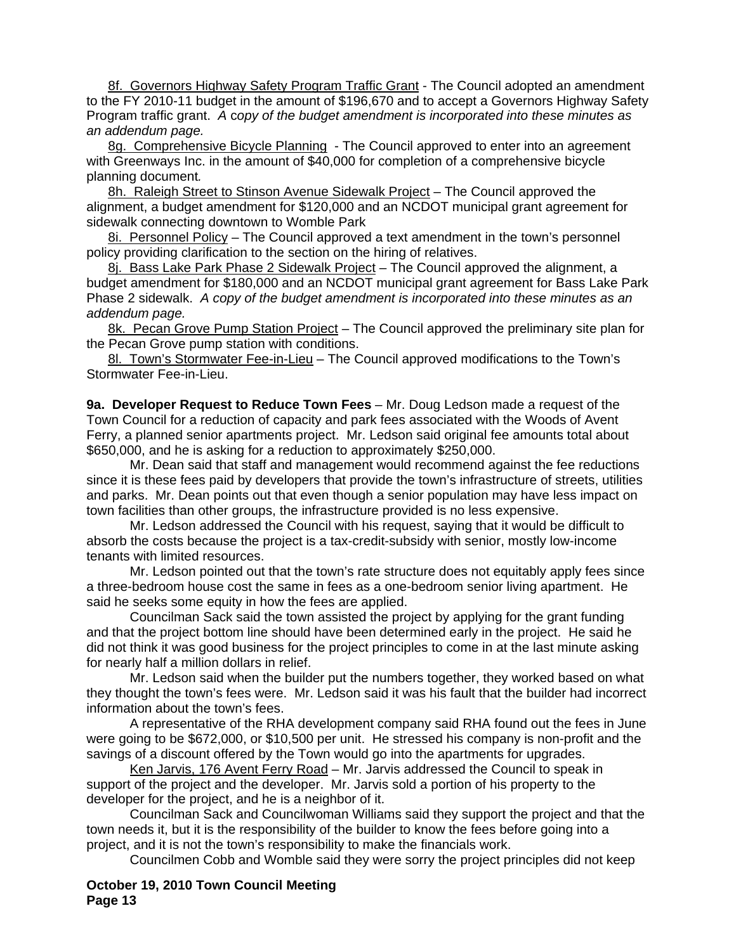8f. Governors Highway Safety Program Traffic Grant - The Council adopted an amendment to the FY 2010-11 budget in the amount of \$196,670 and to accept a Governors Highway Safety Program traffic grant. *A* c*opy of the budget amendment is incorporated into these minutes as an addendum page.*

8g. Comprehensive Bicycle Planning - The Council approved to enter into an agreement with Greenways Inc. in the amount of \$40,000 for completion of a comprehensive bicycle planning document*.* 

8h. Raleigh Street to Stinson Avenue Sidewalk Project - The Council approved the alignment, a budget amendment for \$120,000 and an NCDOT municipal grant agreement for sidewalk connecting downtown to Womble Park

8i. Personnel Policy – The Council approved a text amendment in the town's personnel policy providing clarification to the section on the hiring of relatives.

8j. Bass Lake Park Phase 2 Sidewalk Project - The Council approved the alignment, a budget amendment for \$180,000 and an NCDOT municipal grant agreement for Bass Lake Park Phase 2 sidewalk. *A copy of the budget amendment is incorporated into these minutes as an addendum page.* 

8k. Pecan Grove Pump Station Project – The Council approved the preliminary site plan for the Pecan Grove pump station with conditions.

8l. Town's Stormwater Fee-in-Lieu – The Council approved modifications to the Town's Stormwater Fee-in-Lieu.

**9a. Developer Request to Reduce Town Fees** – Mr. Doug Ledson made a request of the Town Council for a reduction of capacity and park fees associated with the Woods of Avent Ferry, a planned senior apartments project. Mr. Ledson said original fee amounts total about \$650,000, and he is asking for a reduction to approximately \$250,000.

 Mr. Dean said that staff and management would recommend against the fee reductions since it is these fees paid by developers that provide the town's infrastructure of streets, utilities and parks. Mr. Dean points out that even though a senior population may have less impact on town facilities than other groups, the infrastructure provided is no less expensive.

Mr. Ledson addressed the Council with his request, saying that it would be difficult to absorb the costs because the project is a tax-credit-subsidy with senior, mostly low-income tenants with limited resources.

Mr. Ledson pointed out that the town's rate structure does not equitably apply fees since a three-bedroom house cost the same in fees as a one-bedroom senior living apartment. He said he seeks some equity in how the fees are applied.

Councilman Sack said the town assisted the project by applying for the grant funding and that the project bottom line should have been determined early in the project. He said he did not think it was good business for the project principles to come in at the last minute asking for nearly half a million dollars in relief.

Mr. Ledson said when the builder put the numbers together, they worked based on what they thought the town's fees were. Mr. Ledson said it was his fault that the builder had incorrect information about the town's fees.

A representative of the RHA development company said RHA found out the fees in June were going to be \$672,000, or \$10,500 per unit. He stressed his company is non-profit and the savings of a discount offered by the Town would go into the apartments for upgrades.

Ken Jarvis, 176 Avent Ferry Road – Mr. Jarvis addressed the Council to speak in support of the project and the developer. Mr. Jarvis sold a portion of his property to the developer for the project, and he is a neighbor of it.

Councilman Sack and Councilwoman Williams said they support the project and that the town needs it, but it is the responsibility of the builder to know the fees before going into a project, and it is not the town's responsibility to make the financials work.

Councilmen Cobb and Womble said they were sorry the project principles did not keep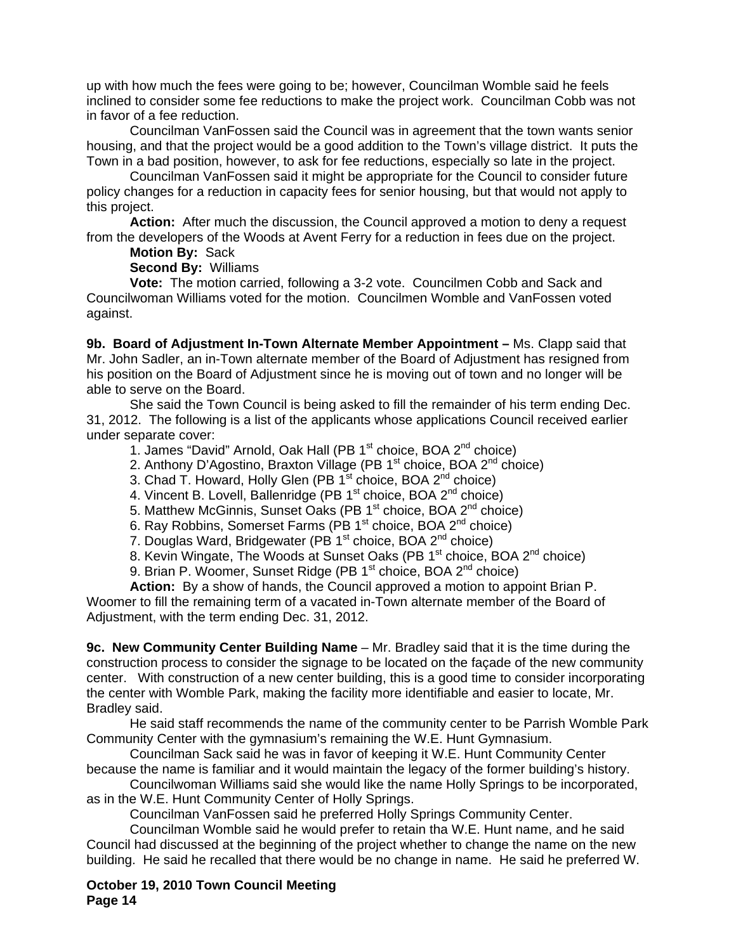up with how much the fees were going to be; however, Councilman Womble said he feels inclined to consider some fee reductions to make the project work. Councilman Cobb was not in favor of a fee reduction.

Councilman VanFossen said the Council was in agreement that the town wants senior housing, and that the project would be a good addition to the Town's village district. It puts the Town in a bad position, however, to ask for fee reductions, especially so late in the project.

Councilman VanFossen said it might be appropriate for the Council to consider future policy changes for a reduction in capacity fees for senior housing, but that would not apply to this project.

**Action:** After much the discussion, the Council approved a motion to deny a request from the developers of the Woods at Avent Ferry for a reduction in fees due on the project.

**Motion By:** Sack

**Second By:** Williams

**Vote:** The motion carried, following a 3-2 vote. Councilmen Cobb and Sack and Councilwoman Williams voted for the motion. Councilmen Womble and VanFossen voted against.

**9b. Board of Adjustment In-Town Alternate Member Appointment –** Ms. Clapp said that Mr. John Sadler, an in-Town alternate member of the Board of Adjustment has resigned from his position on the Board of Adjustment since he is moving out of town and no longer will be able to serve on the Board.

She said the Town Council is being asked to fill the remainder of his term ending Dec. 31, 2012. The following is a list of the applicants whose applications Council received earlier under separate cover:

1. James "David" Arnold, Oak Hall (PB 1<sup>st</sup> choice, BOA 2<sup>nd</sup> choice)

2. Anthony D'Agostino, Braxton Village (PB 1<sup>st</sup> choice, BOA 2<sup>nd</sup> choice)

3. Chad T. Howard, Holly Glen (PB 1<sup>st</sup> choice, BOA 2<sup>nd</sup> choice)

4. Vincent B. Lovell, Ballenridge (PB  $1<sup>st</sup>$  choice, BOA  $2<sup>nd</sup>$  choice)

5. Matthew McGinnis, Sunset Oaks (PB 1<sup>st</sup> choice, BOA 2<sup>nd</sup> choice)

6. Ray Robbins, Somerset Farms (PB 1st choice, BOA 2nd choice)

7. Douglas Ward, Bridgewater (PB 1<sup>st</sup> choice, BOA 2<sup>nd</sup> choice)

8. Kevin Wingate, The Woods at Sunset Oaks (PB 1<sup>st</sup> choice, BOA 2<sup>nd</sup> choice)

9. Brian P. Woomer, Sunset Ridge (PB 1<sup>st</sup> choice, BOA 2<sup>nd</sup> choice)

**Action:** By a show of hands, the Council approved a motion to appoint Brian P. Woomer to fill the remaining term of a vacated in-Town alternate member of the Board of Adjustment, with the term ending Dec. 31, 2012.

**9c. New Community Center Building Name** *–* Mr. Bradley said that it is the time during the construction process to consider the signage to be located on the façade of the new community center. With construction of a new center building, this is a good time to consider incorporating the center with Womble Park, making the facility more identifiable and easier to locate, Mr. Bradley said.

 He said staff recommends the name of the community center to be Parrish Womble Park Community Center with the gymnasium's remaining the W.E. Hunt Gymnasium.

 Councilman Sack said he was in favor of keeping it W.E. Hunt Community Center because the name is familiar and it would maintain the legacy of the former building's history.

Councilwoman Williams said she would like the name Holly Springs to be incorporated, as in the W.E. Hunt Community Center of Holly Springs.

Councilman VanFossen said he preferred Holly Springs Community Center.

Councilman Womble said he would prefer to retain tha W.E. Hunt name, and he said Council had discussed at the beginning of the project whether to change the name on the new building. He said he recalled that there would be no change in name. He said he preferred W.